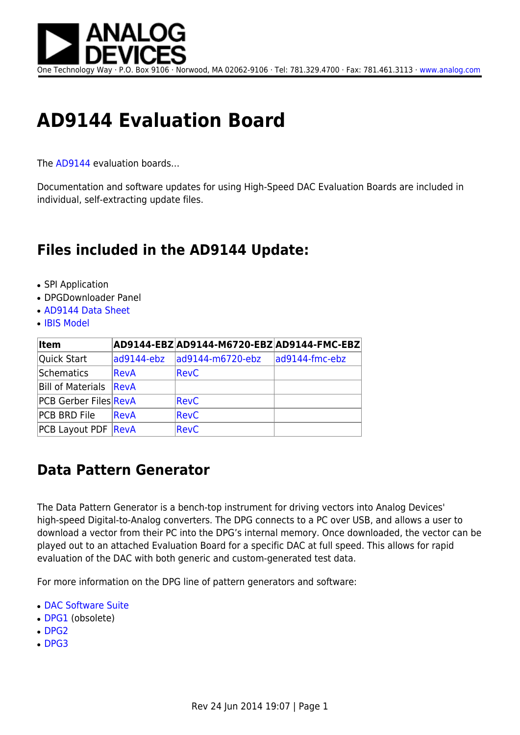

One Technology Way · P.O. Box 9106 · Norwood, MA 02062-9106 · Tel: 781.329.4700 · Fax: 781.461.3113 · [www.analog.com](http://www.analog.com)

## **AD9144 Evaluation Board**

The [AD9144](http://www.analog.com/AD9144) evaluation boards…

Documentation and software updates for using High-Speed DAC Evaluation Boards are included in individual, self-extracting update files.

## **Files included in the AD9144 Update:**

- SPI Application
- DPGDownloader Panel
- [AD9144 Data Sheet](http://www.analog.com/static/imported-files/data_sheets/AD9144.pdf)
- [IBIS Model](http://www.analog.com/Analog_Root/static/techSupport/designTools/ibisModels/license/ibis_general.html?ibs=AD9142.ibs)

| <b>Item</b>                  |             | AD9144-EBZ AD9144-M6720-EBZ AD9144-FMC-EBZ |                |
|------------------------------|-------------|--------------------------------------------|----------------|
| Quick Start                  | ad9144-ebz  | ad9144-m6720-ebz                           | ad9144-fmc-ebz |
| Schematics                   | RevA        | RevC                                       |                |
| Bill of Materials            | ReVA        |                                            |                |
| <b>PCB Gerber Files RevA</b> |             | RevC                                       |                |
| <b>PCB BRD File</b>          | <b>RevA</b> | RevC                                       |                |
| <b>PCB Layout PDF RevA</b>   |             | RevC                                       |                |

## **Data Pattern Generator**

The Data Pattern Generator is a bench-top instrument for driving vectors into Analog Devices' high-speed Digital-to-Analog converters. The DPG connects to a PC over USB, and allows a user to download a vector from their PC into the DPG's internal memory. Once downloaded, the vector can be played out to an attached Evaluation Board for a specific DAC at full speed. This allows for rapid evaluation of the DAC with both generic and custom-generated test data.

For more information on the DPG line of pattern generators and software:

- [DAC Software Suite](http://wiki.analog.com/resources/eval/dpg/dacsoftwaresuite)
- [DPG1](http://wiki.analog.com/resources/eval/dpg/dpg1) (obsolete)
- $\cdot$  [DPG2](http://wiki.analog.com/resources/eval/dpg/dpg2)
- $\cdot$  [DPG3](http://wiki.analog.com/resources/eval/dpg/dpg3)